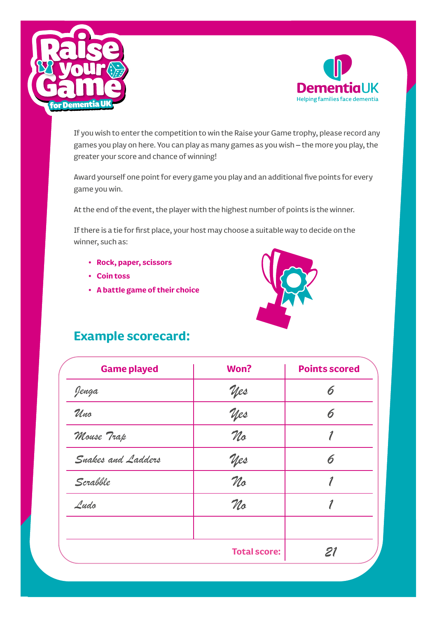



If you wish to enter the competition to win the Raise your Game trophy, please record any games you play on here. You can play as many games as you wish – the more you play, the greater your score and chance of winning!

Award yourself one point for every game you play and an additional five points for every game you win.

At the end of the event, the player with the highest number of points is the winner.

If there is a tie for first place, your host may choose a suitable way to decide on the winner, such as:#

- **• Rock, paper, scissors**
- **• Coin toss**
- **• A battle game of their choice**



## **Example scorecard:**

| <b>Game played</b> | Won?                | <b>Points scored</b> |
|--------------------|---------------------|----------------------|
| Jenga              | <u> Yes</u>         | 6                    |
| Uno                | yes                 | 6                    |
| Mouse Trap         | No                  |                      |
| Snakes and Ladders | yes                 | 6                    |
| Scrabble           | No                  |                      |
| Ludo               | No                  |                      |
|                    | <b>Total score:</b> | 21                   |